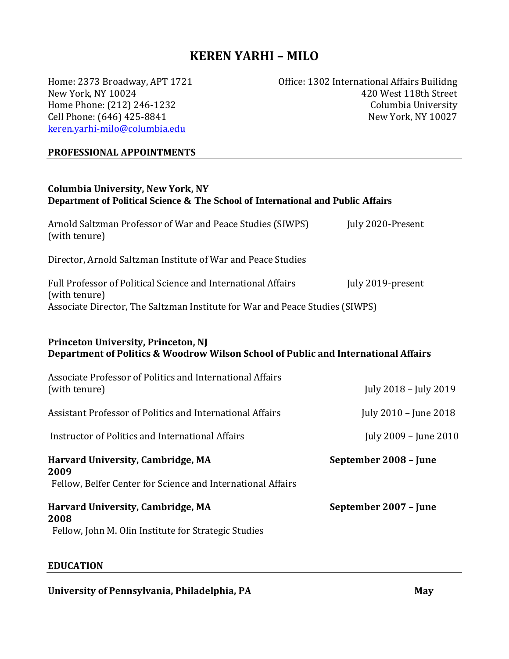# **KEREN YARHI – MILO**

New York, NY 10024 Home Phone: (212) 246-1232 Cell Phone: (646) 425-8841 [keren.yarhi-milo@columbia.edu](mailto:keren.yarhi-milo@columbia.edu)

Home: 2373 Broadway, APT 1721 **Market Configure: Configure: 1302 International Affairs Builidng** 420 West 118th Street Columbia University New York, NY 10027

#### **PROFESSIONAL APPOINTMENTS**

| <b>Columbia University, New York, NY</b><br>Department of Political Science & The School of International and Public Affairs                                   |                       |
|----------------------------------------------------------------------------------------------------------------------------------------------------------------|-----------------------|
| Arnold Saltzman Professor of War and Peace Studies (SIWPS)<br>(with tenure)                                                                                    | July 2020-Present     |
| Director, Arnold Saltzman Institute of War and Peace Studies                                                                                                   |                       |
| Full Professor of Political Science and International Affairs<br>(with tenure)<br>Associate Director, The Saltzman Institute for War and Peace Studies (SIWPS) | July 2019-present     |
| <b>Princeton University, Princeton, NJ</b><br>Department of Politics & Woodrow Wilson School of Public and International Affairs                               |                       |
| Associate Professor of Politics and International Affairs<br>(with tenure)                                                                                     | July 2018 - July 2019 |
| Assistant Professor of Politics and International Affairs                                                                                                      | July 2010 - June 2018 |
| Instructor of Politics and International Affairs                                                                                                               | July 2009 - June 2010 |
| <b>Harvard University, Cambridge, MA</b><br>2009<br>Fellow, Belfer Center for Science and International Affairs                                                | September 2008 - June |
| <b>Harvard University, Cambridge, MA</b><br>2008<br>Fellow, John M. Olin Institute for Strategic Studies                                                       | September 2007 - June |

#### **EDUCATION**

## University of Pennsylvania, Philadelphia, PA **May** *May May*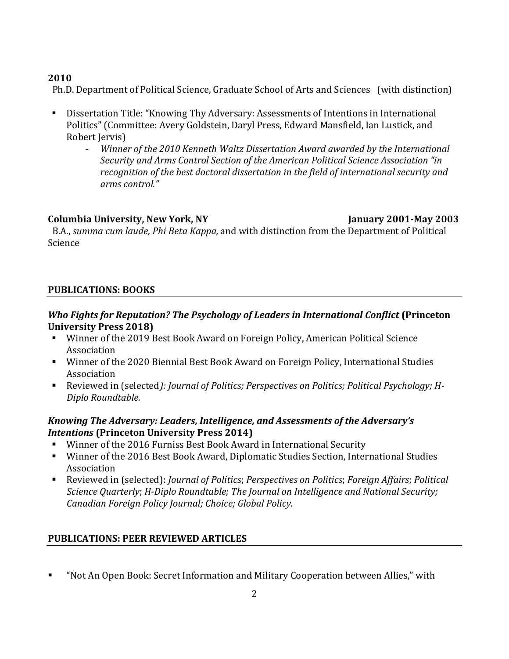## **2010**

Ph.D. Department of Political Science, Graduate School of Arts and Sciences (with distinction)

- Dissertation Title: "Knowing Thy Adversary: Assessments of Intentions in International Politics" (Committee: Avery Goldstein, Daryl Press, Edward Mansfield, Ian Lustick, and Robert Jervis)
	- *Winner of the 2010 Kenneth Waltz Dissertation Award awarded by the International Security and Arms Control Section of the American Political Science Association "in recognition of the best doctoral dissertation in the field of international security and arms control."*

## **Columbia University, New York, NY January 2001-May 2003**

 B.A., *summa cum laude, Phi Beta Kappa,* and with distinction from the Department of Political Science

## **PUBLICATIONS: BOOKS**

### *Who Fights for Reputation? The Psychology of Leaders in International Conflict* **(Princeton University Press 2018)**

- Winner of the 2019 Best Book Award on Foreign Policy, American Political Science Association
- Winner of the 2020 Biennial Best Book Award on Foreign Policy, International Studies Association
- Reviewed in (selected): *Journal of Politics; Perspectives on Politics; Political Psychology; H-Diplo Roundtable.*

### *Knowing The Adversary: Leaders, Intelligence, and Assessments of the Adversary's Intentions* **(Princeton University Press 2014)**

- Winner of the 2016 Furniss Best Book Award in International Security
- Winner of the 2016 Best Book Award, Diplomatic Studies Section, International Studies Association
- Reviewed in (selected): *Journal of Politics*; *Perspectives on Politics*; *Foreign Affairs*; *Political Science Quarterly*; *H-Diplo Roundtable; The Journal on Intelligence and National Security; Canadian Foreign Policy Journal; Choice; Global Policy.*

## **PUBLICATIONS: PEER REVIEWED ARTICLES**

"Not An Open Book: Secret Information and Military Cooperation between Allies," with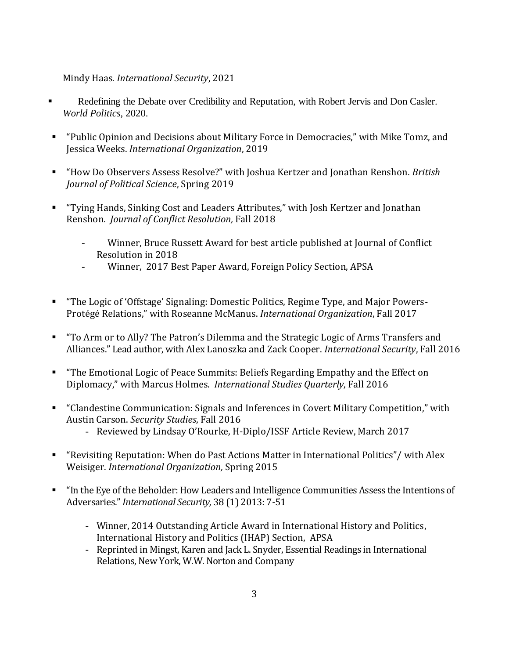Mindy Haas. *International Security*, 2021

- Redefining the Debate over Credibility and Reputation, with Robert Jervis and Don Casler. *World Politics*, 2020.
- "Public Opinion and Decisions about Military Force in Democracies," with Mike Tomz, and Jessica Weeks. *International Organization*, 2019
- "How Do Observers Assess Resolve?" with Joshua Kertzer and Jonathan Renshon. *British Journal of Political Science*, Spring 2019
- "Tying Hands, Sinking Cost and Leaders Attributes," with Josh Kertzer and Jonathan Renshon. *Journal of Conflict Resolution,* Fall 2018
	- Winner, Bruce Russett Award for best article published at Journal of Conflict Resolution in 2018
	- Winner, 2017 Best Paper Award, Foreign Policy Section, APSA
- "The Logic of 'Offstage' Signaling: Domestic Politics, Regime Type, and Major Powers-Protégé Relations," with Roseanne McManus. *International Organization*, Fall 2017
- "To Arm or to Ally? The Patron's Dilemma and the Strategic Logic of Arms Transfers and Alliances." Lead author, with Alex Lanoszka and Zack Cooper. *International Security*, Fall 2016
- "The Emotional Logic of Peace Summits: Beliefs Regarding Empathy and the Effect on Diplomacy," with Marcus Holmes. *International Studies Quarterly*, Fall 2016
- "Clandestine Communication: Signals and Inferences in Covert Military Competition," with Austin Carson. *Security Studies*, Fall 2016
	- Reviewed by Lindsay O'Rourke, H-Diplo/ISSF Article Review, March 2017
- "Revisiting Reputation: When do Past Actions Matter in International Politics"/ with Alex Weisiger. *International Organization,* Spring 2015
- "In the Eye of the Beholder: How Leaders and Intelligence Communities Assess the Intentions of Adversaries." *International Security,* 38 (1) 2013: 7-51
	- Winner, 2014 Outstanding Article Award in International History and Politics, International History and Politics (IHAP) Section, APSA
	- Reprinted in Mingst, Karen and Jack L. Snyder, Essential Readings in International Relations, New York, W.W. Norton and Company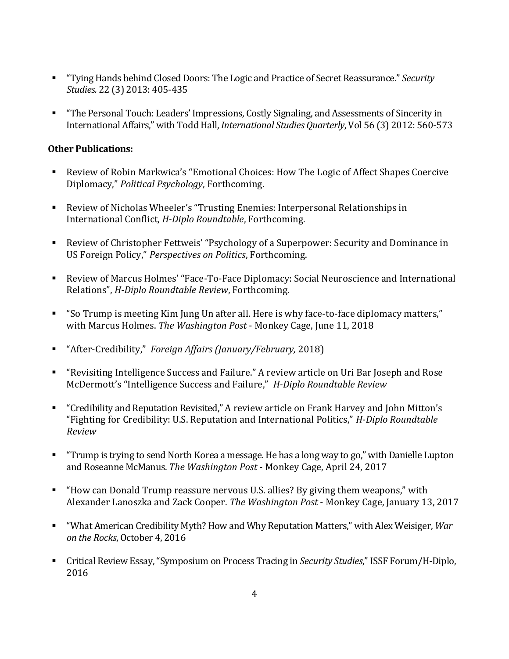- "Tying Hands behind Closed Doors: The Logic and Practice of Secret Reassurance." *Security Studies.* 22 (3) 2013: 405-435
- "The Personal Touch: Leaders' Impressions, Costly Signaling, and Assessments of Sincerity in International Affairs," with Todd Hall, *International Studies Quarterly*, Vol 56 (3) 2012: 560-573

### **Other Publications:**

- Review of Robin Markwica's "Emotional Choices: How The Logic of Affect Shapes Coercive Diplomacy," *Political Psychology*, Forthcoming.
- Review of Nicholas Wheeler's "Trusting Enemies: Interpersonal Relationships in International Conflict, *H-Diplo Roundtable*, Forthcoming.
- Review of Christopher Fettweis' "Psychology of a Superpower: Security and Dominance in US Foreign Policy," *Perspectives on Politics*, Forthcoming.
- Review of Marcus Holmes' "Face-To-Face Diplomacy: Social Neuroscience and International Relations", *H-Diplo Roundtable Review*, Forthcoming.
- "So Trump is meeting Kim Jung Un after all. Here is why face-to-face diplomacy matters," with Marcus Holmes. *The Washington Post* - Monkey Cage, June 11, 2018
- "After-Credibility," *Foreign Affairs (January/February,* 2018)
- "Revisiting Intelligence Success and Failure." A review article on Uri Bar Joseph and Rose McDermott's "Intelligence Success and Failure," *H-Diplo Roundtable Review*
- "Credibility and Reputation Revisited," A review article on Frank Harvey and John Mitton's "Fighting for Credibility: U.S. Reputation and International Politics," *H-Diplo Roundtable Review*
- "Trump is trying to send North Korea a message. He has a long way to go," with Danielle Lupton and Roseanne McManus. *The Washington Post* - Monkey Cage, April 24, 2017
- "How can Donald Trump reassure nervous U.S. allies? By giving them weapons," with Alexander Lanoszka and Zack Cooper. *The Washington Post* - Monkey Cage, January 13, 2017
- "What American Credibility Myth? How and Why Reputation Matters," with Alex Weisiger, *War on the Rocks*, October 4, 2016
- Critical Review Essay, "Symposium on Process Tracing in *Security Studies*," ISSF Forum/H-Diplo, 2016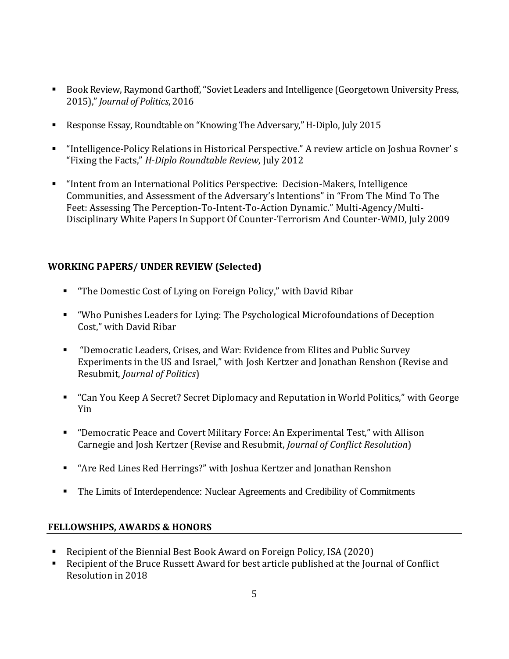- Book Review, Raymond Garthoff, "Soviet Leaders and Intelligence (Georgetown University Press, 2015)," *Journal of Politics*, 2016
- Response Essay, Roundtable on "Knowing The Adversary," H-Diplo, July 2015
- "Intelligence-Policy Relations in Historical Perspective." A review article on Joshua Rovner' s "Fixing the Facts," *H-Diplo Roundtable Review*, July 2012
- "Intent from an International Politics Perspective: Decision-Makers, Intelligence Communities, and Assessment of the Adversary's Intentions" in "From The Mind To The Feet: Assessing The Perception-To-Intent-To-Action Dynamic." Multi-Agency/Multi-Disciplinary White Papers In Support Of Counter-Terrorism And Counter-WMD, July 2009

### **WORKING PAPERS/ UNDER REVIEW (Selected)**

- "The Domestic Cost of Lying on Foreign Policy," with David Ribar
- "Who Punishes Leaders for Lying: The Psychological Microfoundations of Deception Cost," with David Ribar
- "Democratic Leaders, Crises, and War: Evidence from Elites and Public Survey Experiments in the US and Israel," with Josh Kertzer and Jonathan Renshon (Revise and Resubmit, *Journal of Politics*)
- "Can You Keep A Secret? Secret Diplomacy and Reputation in World Politics," with George Yin
- "Democratic Peace and Covert Military Force: An Experimental Test," with Allison Carnegie and Josh Kertzer (Revise and Resubmit, *Journal of Conflict Resolution*)
- "Are Red Lines Red Herrings?" with Joshua Kertzer and Jonathan Renshon
- The Limits of Interdependence: Nuclear Agreements and Credibility of Commitments

#### **FELLOWSHIPS, AWARDS & HONORS**

- Recipient of the Biennial Best Book Award on Foreign Policy, ISA (2020)
- Recipient of the Bruce Russett Award for best article published at the Journal of Conflict Resolution in 2018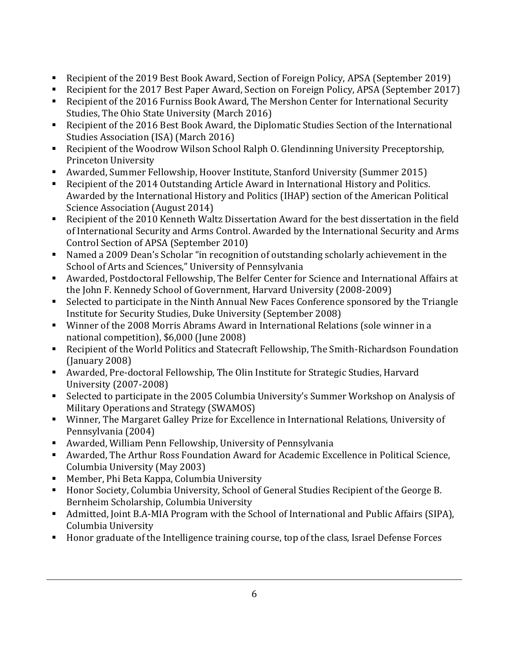- Recipient of the 2019 Best Book Award, Section of Foreign Policy, APSA (September 2019)
- Recipient for the 2017 Best Paper Award, Section on Foreign Policy, APSA (September 2017)
- Recipient of the 2016 Furniss Book Award, The Mershon Center for International Security Studies, The Ohio State University (March 2016)
- Recipient of the 2016 Best Book Award, the Diplomatic Studies Section of the International Studies Association (ISA) (March 2016)
- Recipient of the Woodrow Wilson School Ralph O. Glendinning University Preceptorship, Princeton University
- Awarded, Summer Fellowship, Hoover Institute, Stanford University (Summer 2015)
- Recipient of the 2014 Outstanding Article Award in International History and Politics. Awarded by the International History and Politics (IHAP) section of the American Political Science Association (August 2014)
- Recipient of the 2010 Kenneth Waltz Dissertation Award for the best dissertation in the field of International Security and Arms Control. Awarded by the International Security and Arms Control Section of APSA (September 2010)
- Named a 2009 Dean's Scholar "in recognition of outstanding scholarly achievement in the School of Arts and Sciences," University of Pennsylvania
- Awarded, Postdoctoral Fellowship, The Belfer Center for Science and International Affairs at the John F. Kennedy School of Government, Harvard University (2008-2009)
- Selected to participate in the Ninth Annual New Faces Conference sponsored by the Triangle Institute for Security Studies, Duke University (September 2008)
- Winner of the 2008 Morris Abrams Award in International Relations (sole winner in a national competition), \$6,000 (June 2008)
- Recipient of the World Politics and Statecraft Fellowship, The Smith-Richardson Foundation (January 2008)
- Awarded, Pre-doctoral Fellowship, The Olin Institute for Strategic Studies, Harvard University (2007-2008)
- Selected to participate in the 2005 Columbia University's Summer Workshop on Analysis of Military Operations and Strategy (SWAMOS)
- Winner, The Margaret Galley Prize for Excellence in International Relations, University of Pennsylvania (2004)
- Awarded, William Penn Fellowship, University of Pennsylvania
- Awarded, The Arthur Ross Foundation Award for Academic Excellence in Political Science, Columbia University (May 2003)
- Member, Phi Beta Kappa, Columbia University
- Honor Society, Columbia University, School of General Studies Recipient of the George B. Bernheim Scholarship, Columbia University
- Admitted, Joint B.A-MIA Program with the School of International and Public Affairs (SIPA), Columbia University
- Honor graduate of the Intelligence training course, top of the class, Israel Defense Forces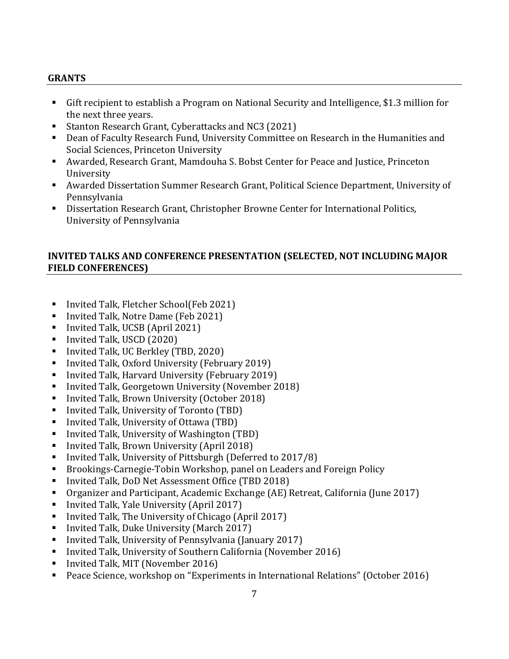#### **GRANTS**

- Gift recipient to establish a Program on National Security and Intelligence, \$1.3 million for the next three years.
- **Stanton Research Grant, Cyberattacks and NC3 (2021)**
- Dean of Faculty Research Fund, University Committee on Research in the Humanities and Social Sciences, Princeton University
- Awarded, Research Grant, Mamdouha S. Bobst Center for Peace and Justice, Princeton University
- Awarded Dissertation Summer Research Grant, Political Science Department, University of Pennsylvania
- Dissertation Research Grant, Christopher Browne Center for International Politics, University of Pennsylvania

#### **INVITED TALKS AND CONFERENCE PRESENTATION (SELECTED, NOT INCLUDING MAJOR FIELD CONFERENCES)**

- Invited Talk, Fletcher School(Feb 2021)
- Invited Talk, Notre Dame (Feb 2021)
- Invited Talk, UCSB (April 2021)
- Invited Talk, USCD (2020)
- Invited Talk, UC Berkley (TBD, 2020)
- Invited Talk, Oxford University (February 2019)
- Invited Talk, Harvard University (February 2019)
- Invited Talk, Georgetown University (November 2018)
- Invited Talk, Brown University (October 2018)
- Invited Talk, University of Toronto (TBD)
- Invited Talk, University of Ottawa (TBD)
- Invited Talk, University of Washington (TBD)
- Invited Talk, Brown University (April 2018)
- Invited Talk, University of Pittsburgh (Deferred to 2017/8)
- Brookings-Carnegie-Tobin Workshop, panel on Leaders and Foreign Policy
- Invited Talk, DoD Net Assessment Office (TBD 2018)
- Organizer and Participant, Academic Exchange (AE) Retreat, California (June 2017)
- Invited Talk, Yale University (April 2017)
- Invited Talk, The University of Chicago (April 2017)
- Invited Talk, Duke University (March 2017)
- Invited Talk, University of Pennsylvania (January 2017)
- Invited Talk, University of Southern California (November 2016)
- Invited Talk, MIT (November 2016)
- Peace Science, workshop on "Experiments in International Relations" (October 2016)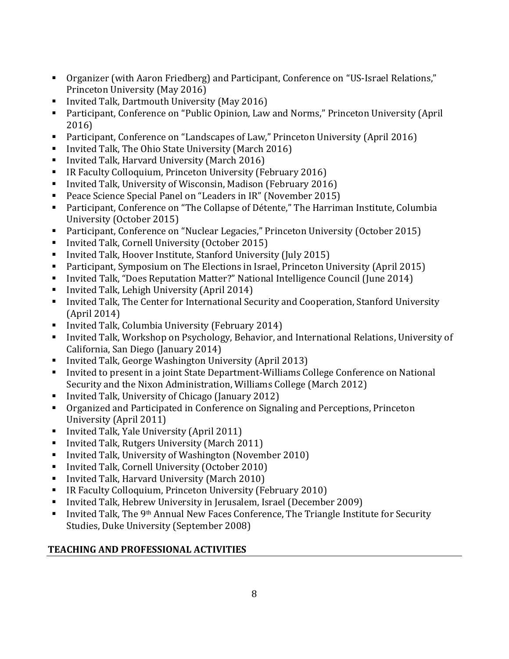- Organizer (with Aaron Friedberg) and Participant, Conference on "US-Israel Relations," Princeton University (May 2016)
- Invited Talk, Dartmouth University (May 2016)
- Participant, Conference on "Public Opinion, Law and Norms," Princeton University (April 2016)
- Participant, Conference on "Landscapes of Law," Princeton University (April 2016)
- Invited Talk, The Ohio State University (March 2016)
- Invited Talk, Harvard University (March 2016)
- IR Faculty Colloquium, Princeton University (February 2016)
- Invited Talk, University of Wisconsin, Madison (February 2016)
- Peace Science Special Panel on "Leaders in IR" (November 2015)
- Participant, Conference on "The Collapse of Détente," The Harriman Institute, Columbia University (October 2015)
- Participant, Conference on "Nuclear Legacies," Princeton University (October 2015)
- Invited Talk, Cornell University (October 2015)
- Invited Talk, Hoover Institute, Stanford University (July 2015)
- Participant, Symposium on The Elections in Israel, Princeton University (April 2015)
- Invited Talk, "Does Reputation Matter?" National Intelligence Council (June 2014)
- Invited Talk, Lehigh University (April 2014)
- Invited Talk, The Center for International Security and Cooperation, Stanford University (April 2014)
- Invited Talk, Columbia University (February 2014)
- Invited Talk, Workshop on Psychology, Behavior, and International Relations, University of California, San Diego (January 2014)
- Invited Talk, George Washington University (April 2013)
- Invited to present in a joint State Department-Williams College Conference on National Security and the Nixon Administration, Williams College (March 2012)
- Invited Talk, University of Chicago (January 2012)
- Organized and Participated in Conference on Signaling and Perceptions, Princeton University (April 2011)
- Invited Talk, Yale University (April 2011)
- Invited Talk, Rutgers University (March 2011)
- **Invited Talk, University of Washington (November 2010)**
- Invited Talk, Cornell University (October 2010)
- Invited Talk, Harvard University (March 2010)
- IR Faculty Colloquium, Princeton University (February 2010)
- Invited Talk, Hebrew University in Jerusalem, Israel (December 2009)
- Invited Talk, The 9<sup>th</sup> Annual New Faces Conference, The Triangle Institute for Security Studies, Duke University (September 2008)

### **TEACHING AND PROFESSIONAL ACTIVITIES**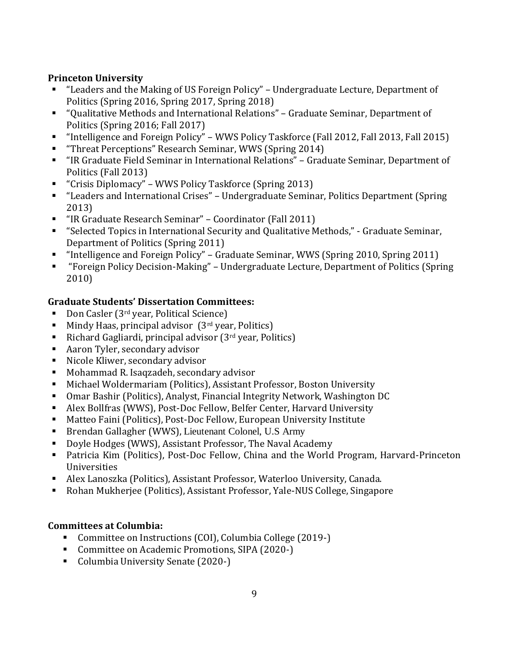### **Princeton University**

- "Leaders and the Making of US Foreign Policy" Undergraduate Lecture, Department of Politics (Spring 2016, Spring 2017, Spring 2018)
- "Qualitative Methods and International Relations" Graduate Seminar, Department of Politics (Spring 2016; Fall 2017)
- "Intelligence and Foreign Policy" WWS Policy Taskforce (Fall 2012, Fall 2013, Fall 2015)
- **Threat Perceptions**" Research Seminar, WWS (Spring 2014)
- "IR Graduate Field Seminar in International Relations" Graduate Seminar, Department of Politics (Fall 2013)
- "Crisis Diplomacy" WWS Policy Taskforce (Spring 2013)
- "Leaders and International Crises" Undergraduate Seminar, Politics Department (Spring 2013)
- "IR Graduate Research Seminar" Coordinator (Fall 2011)
- "Selected Topics in International Security and Qualitative Methods," Graduate Seminar, Department of Politics (Spring 2011)
- "Intelligence and Foreign Policy" Graduate Seminar, WWS (Spring 2010, Spring 2011)
- "Foreign Policy Decision-Making" Undergraduate Lecture, Department of Politics (Spring 2010)

### **Graduate Students' Dissertation Committees:**

- Don Casler ( $3<sup>rd</sup>$  year, Political Science)
- Mindy Haas, principal advisor (3<sup>rd</sup> year, Politics)
- Richard Gagliardi, principal advisor  $(3^{rd}$  year, Politics)
- Aaron Tyler, secondary advisor
- Nicole Kliwer, secondary advisor
- Mohammad R. Isaqzadeh, secondary advisor
- Michael Woldermariam (Politics), Assistant Professor, Boston University
- Omar Bashir (Politics), Analyst, Financial Integrity Network, Washington DC
- Alex Bollfras (WWS), Post-Doc Fellow, Belfer Center, Harvard University
- Matteo Faini (Politics), Post-Doc Fellow, European University Institute
- Brendan Gallagher (WWS), Lieutenant Colonel, U.S Army
- Doyle Hodges (WWS), Assistant Professor, The Naval Academy
- Patricia Kim (Politics), Post-Doc Fellow, China and the World Program, Harvard-Princeton Universities
- Alex Lanoszka (Politics), Assistant Professor, Waterloo University, Canada.
- Rohan Mukherjee (Politics), Assistant Professor, Yale-NUS College, Singapore

## **Committees at Columbia:**

- Committee on Instructions (COI), Columbia College (2019-)
- Committee on Academic Promotions, SIPA (2020-)
- Columbia University Senate (2020-)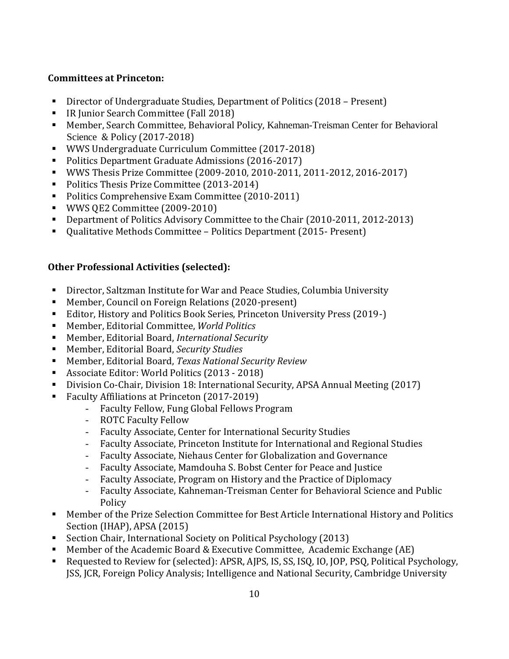### **Committees at Princeton:**

- Director of Undergraduate Studies, Department of Politics (2018 Present)
- **IR Junior Search Committee (Fall 2018)**
- Member, Search Committee, Behavioral Policy, Kahneman-Treisman Center for Behavioral Science & Policy (2017-2018)
- WWS Undergraduate Curriculum Committee (2017-2018)
- Politics Department Graduate Admissions (2016-2017)
- WWS Thesis Prize Committee (2009-2010, 2010-2011, 2011-2012, 2016-2017)
- Politics Thesis Prize Committee (2013-2014)
- Politics Comprehensive Exam Committee (2010-2011)
- **WWS QE2 Committee (2009-2010)**
- Department of Politics Advisory Committee to the Chair (2010-2011, 2012-2013)
- Qualitative Methods Committee Politics Department (2015- Present)

#### **Other Professional Activities (selected):**

- Director, Saltzman Institute for War and Peace Studies, Columbia University
- Member, Council on Foreign Relations (2020-present)
- Editor, History and Politics Book Series, Princeton University Press (2019-)
- Member, Editorial Committee, *World Politics*
- Member, Editorial Board, *International Security*
- Member, Editorial Board, *Security Studies*
- Member, Editorial Board, *Texas National Security Review*
- Associate Editor: World Politics (2013 2018)
- Division Co-Chair, Division 18: International Security, APSA Annual Meeting (2017)
- Faculty Affiliations at Princeton (2017-2019)
	- Faculty Fellow, Fung Global Fellows Program
	- ROTC Faculty Fellow
	- Faculty Associate, Center for International Security Studies
	- Faculty Associate, Princeton Institute for International and Regional Studies
	- Faculty Associate, Niehaus Center for Globalization and Governance
	- Faculty Associate, Mamdouha S. Bobst Center for Peace and Justice
	- Faculty Associate, Program on History and the Practice of Diplomacy
	- Faculty Associate, Kahneman-Treisman Center for Behavioral Science and Public Policy
- Member of the Prize Selection Committee for Best Article International History and Politics Section (IHAP), APSA (2015)
- Section Chair, International Society on Political Psychology (2013)
- Member of the Academic Board & Executive Committee, Academic Exchange (AE)
- Requested to Review for (selected): APSR, AJPS, IS, SS, ISQ, IO, JOP, PSQ, Political Psychology, JSS, JCR, Foreign Policy Analysis; Intelligence and National Security, Cambridge University